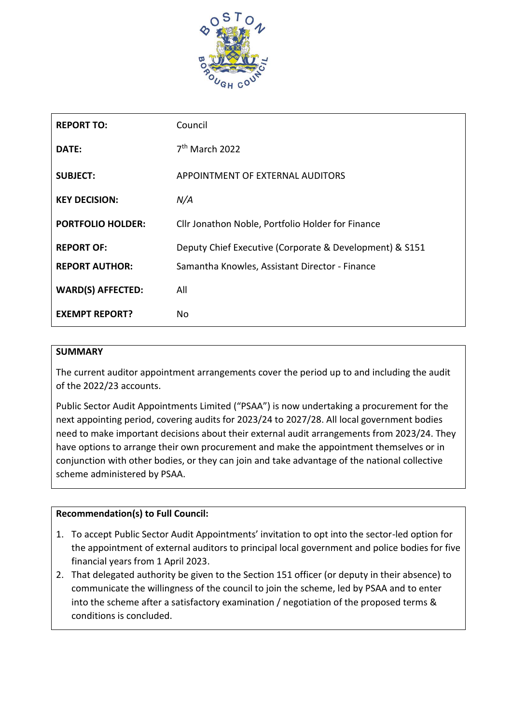

| <b>REPORT TO:</b>        | Council                                                 |
|--------------------------|---------------------------------------------------------|
| DATE:                    | 7 <sup>th</sup> March 2022                              |
| <b>SUBJECT:</b>          | APPOINTMENT OF EXTERNAL AUDITORS                        |
| <b>KEY DECISION:</b>     | N/A                                                     |
| <b>PORTFOLIO HOLDER:</b> | Cllr Jonathon Noble, Portfolio Holder for Finance       |
| <b>REPORT OF:</b>        | Deputy Chief Executive (Corporate & Development) & S151 |
| <b>REPORT AUTHOR:</b>    | Samantha Knowles, Assistant Director - Finance          |
| <b>WARD(S) AFFECTED:</b> | All                                                     |
| <b>EXEMPT REPORT?</b>    | <b>No</b>                                               |

# **SUMMARY**

The current auditor appointment arrangements cover the period up to and including the audit of the 2022/23 accounts.

Public Sector Audit Appointments Limited ("PSAA") is now undertaking a procurement for the next appointing period, covering audits for 2023/24 to 2027/28. All local government bodies need to make important decisions about their external audit arrangements from 2023/24. They have options to arrange their own procurement and make the appointment themselves or in conjunction with other bodies, or they can join and take advantage of the national collective scheme administered by PSAA.

# **Recommendation(s) to Full Council:**

- 1. To accept Public Sector Audit Appointments' invitation to opt into the sector-led option for the appointment of external auditors to principal local government and police bodies for five financial years from 1 April 2023.
- 2. That delegated authority be given to the Section 151 officer (or deputy in their absence) to communicate the willingness of the council to join the scheme, led by PSAA and to enter into the scheme after a satisfactory examination / negotiation of the proposed terms & conditions is concluded.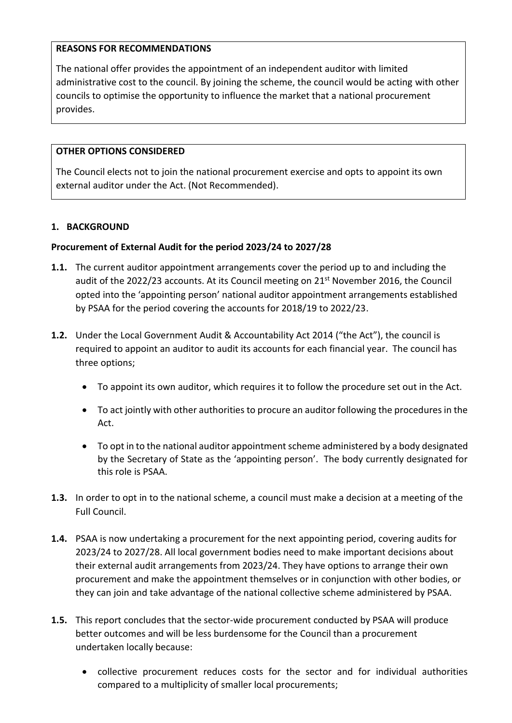# **REASONS FOR RECOMMENDATIONS**

The national offer provides the appointment of an independent auditor with limited administrative cost to the council. By joining the scheme, the council would be acting with other councils to optimise the opportunity to influence the market that a national procurement provides.

# **OTHER OPTIONS CONSIDERED**

The Council elects not to join the national procurement exercise and opts to appoint its own external auditor under the Act. (Not Recommended).

# **1. BACKGROUND**

#### **Procurement of External Audit for the period 2023/24 to 2027/28**

- **1.1.** The current auditor appointment arrangements cover the period up to and including the audit of the 2022/23 accounts. At its Council meeting on  $21<sup>st</sup>$  November 2016, the Council opted into the 'appointing person' national auditor appointment arrangements established by PSAA for the period covering the accounts for 2018/19 to 2022/23.
- **1.2.** Under the Local Government Audit & Accountability Act 2014 ("the Act"), the council is required to appoint an auditor to audit its accounts for each financial year. The council has three options;
	- To appoint its own auditor, which requires it to follow the procedure set out in the Act.
	- To act jointly with other authorities to procure an auditor following the procedures in the Act.
	- To opt in to the national auditor appointment scheme administered by a body designated by the Secretary of State as the 'appointing person'. The body currently designated for this role is PSAA.
- **1.3.** In order to opt in to the national scheme, a council must make a decision at a meeting of the Full Council.
- **1.4.** PSAA is now undertaking a procurement for the next appointing period, covering audits for 2023/24 to 2027/28. All local government bodies need to make important decisions about their external audit arrangements from 2023/24. They have options to arrange their own procurement and make the appointment themselves or in conjunction with other bodies, or they can join and take advantage of the national collective scheme administered by PSAA.
- **1.5.** This report concludes that the sector-wide procurement conducted by PSAA will produce better outcomes and will be less burdensome for the Council than a procurement undertaken locally because:
	- collective procurement reduces costs for the sector and for individual authorities compared to a multiplicity of smaller local procurements;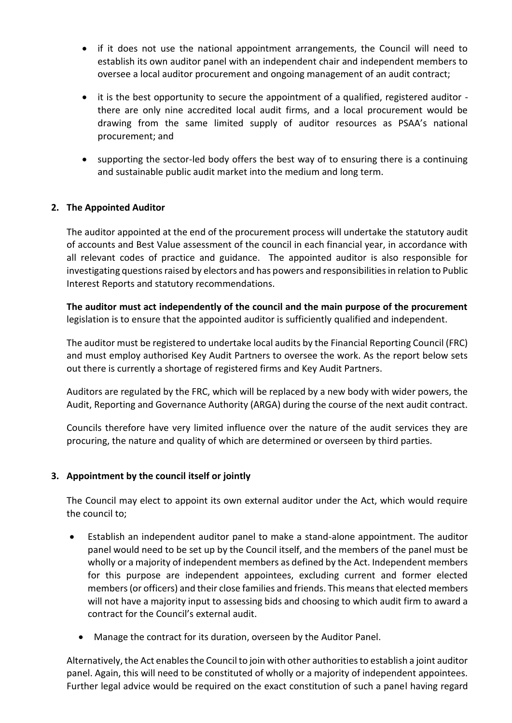- if it does not use the national appointment arrangements, the Council will need to establish its own auditor panel with an independent chair and independent members to oversee a local auditor procurement and ongoing management of an audit contract;
- it is the best opportunity to secure the appointment of a qualified, registered auditor there are only nine accredited local audit firms, and a local procurement would be drawing from the same limited supply of auditor resources as PSAA's national procurement; and
- supporting the sector-led body offers the best way of to ensuring there is a continuing and sustainable public audit market into the medium and long term.

# **2. The Appointed Auditor**

The auditor appointed at the end of the procurement process will undertake the statutory audit of accounts and Best Value assessment of the council in each financial year, in accordance with all relevant codes of practice and guidance. The appointed auditor is also responsible for investigating questions raised by electors and has powers and responsibilities in relation to Public Interest Reports and statutory recommendations.

**The auditor must act independently of the council and the main purpose of the procurement** legislation is to ensure that the appointed auditor is sufficiently qualified and independent.

The auditor must be registered to undertake local audits by the Financial Reporting Council (FRC) and must employ authorised Key Audit Partners to oversee the work. As the report below sets out there is currently a shortage of registered firms and Key Audit Partners.

Auditors are regulated by the FRC, which will be replaced by a new body with wider powers, the Audit, Reporting and Governance Authority (ARGA) during the course of the next audit contract.

Councils therefore have very limited influence over the nature of the audit services they are procuring, the nature and quality of which are determined or overseen by third parties.

# **3. Appointment by the council itself or jointly**

The Council may elect to appoint its own external auditor under the Act, which would require the council to;

- Establish an independent auditor panel to make a stand-alone appointment. The auditor panel would need to be set up by the Council itself, and the members of the panel must be wholly or a majority of independent members as defined by the Act. Independent members for this purpose are independent appointees, excluding current and former elected members (or officers) and their close families and friends. This means that elected members will not have a majority input to assessing bids and choosing to which audit firm to award a contract for the Council's external audit.
	- Manage the contract for its duration, overseen by the Auditor Panel.

Alternatively, the Act enables the Council to join with other authorities to establish a joint auditor panel. Again, this will need to be constituted of wholly or a majority of independent appointees. Further legal advice would be required on the exact constitution of such a panel having regard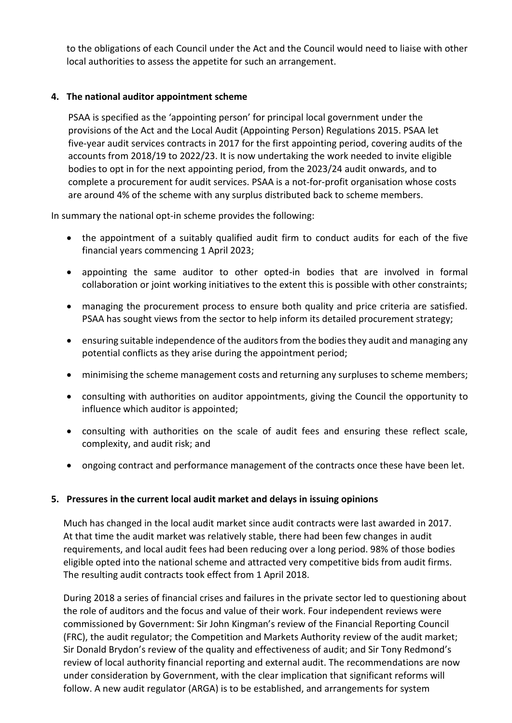to the obligations of each Council under the Act and the Council would need to liaise with other local authorities to assess the appetite for such an arrangement.

# **4. The national auditor appointment scheme**

PSAA is specified as the 'appointing person' for principal local government under the provisions of the Act and the Local Audit (Appointing Person) Regulations 2015. PSAA let five-year audit services contracts in 2017 for the first appointing period, covering audits of the accounts from 2018/19 to 2022/23. It is now undertaking the work needed to invite eligible bodies to opt in for the next appointing period, from the 2023/24 audit onwards, and to complete a procurement for audit services. PSAA is a not-for-profit organisation whose costs are around 4% of the scheme with any surplus distributed back to scheme members.

In summary the national opt-in scheme provides the following:

- the appointment of a suitably qualified audit firm to conduct audits for each of the five financial years commencing 1 April 2023;
- appointing the same auditor to other opted-in bodies that are involved in formal collaboration or joint working initiatives to the extent this is possible with other constraints;
- managing the procurement process to ensure both quality and price criteria are satisfied. PSAA has sought views from the sector to help inform its detailed procurement strategy;
- ensuring suitable independence of the auditors from the bodies they audit and managing any potential conflicts as they arise during the appointment period;
- minimising the scheme management costs and returning any surpluses to scheme members;
- consulting with authorities on auditor appointments, giving the Council the opportunity to influence which auditor is appointed;
- consulting with authorities on the scale of audit fees and ensuring these reflect scale, complexity, and audit risk; and
- ongoing contract and performance management of the contracts once these have been let.

# **5. Pressures in the current local audit market and delays in issuing opinions**

Much has changed in the local audit market since audit contracts were last awarded in 2017. At that time the audit market was relatively stable, there had been few changes in audit requirements, and local audit fees had been reducing over a long period. 98% of those bodies eligible opted into the national scheme and attracted very competitive bids from audit firms. The resulting audit contracts took effect from 1 April 2018.

During 2018 a series of financial crises and failures in the private sector led to questioning about the role of auditors and the focus and value of their work. Four independent reviews were commissioned by Government: Sir John Kingman's review of the Financial Reporting Council (FRC), the audit regulator; the Competition and Markets Authority review of the audit market; Sir Donald Brydon's review of the quality and effectiveness of audit; and Sir Tony Redmond's review of local authority financial reporting and external audit. The recommendations are now under consideration by Government, with the clear implication that significant reforms will follow. A new audit regulator (ARGA) is to be established, and arrangements for system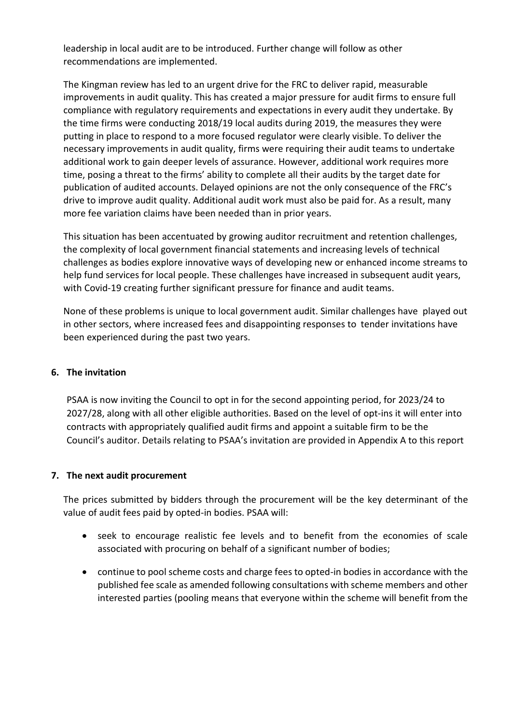leadership in local audit are to be introduced. Further change will follow as other recommendations are implemented.

The Kingman review has led to an urgent drive for the FRC to deliver rapid, measurable improvements in audit quality. This has created a major pressure for audit firms to ensure full compliance with regulatory requirements and expectations in every audit they undertake. By the time firms were conducting 2018/19 local audits during 2019, the measures they were putting in place to respond to a more focused regulator were clearly visible. To deliver the necessary improvements in audit quality, firms were requiring their audit teams to undertake additional work to gain deeper levels of assurance. However, additional work requires more time, posing a threat to the firms' ability to complete all their audits by the target date for publication of audited accounts. Delayed opinions are not the only consequence of the FRC's drive to improve audit quality. Additional audit work must also be paid for. As a result, many more fee variation claims have been needed than in prior years.

This situation has been accentuated by growing auditor recruitment and retention challenges, the complexity of local government financial statements and increasing levels of technical challenges as bodies explore innovative ways of developing new or enhanced income streams to help fund services for local people. These challenges have increased in subsequent audit years, with Covid-19 creating further significant pressure for finance and audit teams.

None of these problems is unique to local government audit. Similar challenges have played out in other sectors, where increased fees and disappointing responses to tender invitations have been experienced during the past two years.

# **6. The invitation**

PSAA is now inviting the Council to opt in for the second appointing period, for 2023/24 to 2027/28, along with all other eligible authorities. Based on the level of opt-ins it will enter into contracts with appropriately qualified audit firms and appoint a suitable firm to be the Council's auditor. Details relating to PSAA's invitation are provided in Appendix A to this report

#### **7. The next audit procurement**

The prices submitted by bidders through the procurement will be the key determinant of the value of audit fees paid by opted-in bodies. PSAA will:

- seek to encourage realistic fee levels and to benefit from the economies of scale associated with procuring on behalf of a significant number of bodies;
- continue to pool scheme costs and charge fees to opted-in bodies in accordance with the published fee scale as amended following consultations with scheme members and other interested parties (pooling means that everyone within the scheme will benefit from the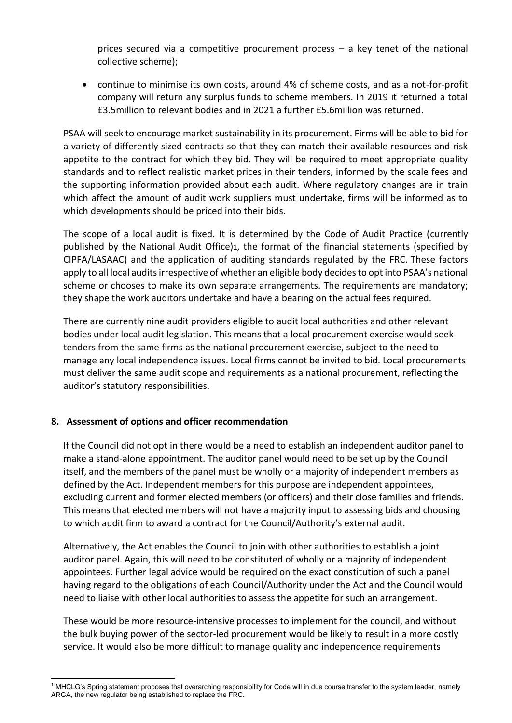prices secured via a competitive procurement process – a key tenet of the national collective scheme);

• continue to minimise its own costs, around 4% of scheme costs, and as a not-for-profit company will return any surplus funds to scheme members. In 2019 it returned a total £3.5million to relevant bodies and in 2021 a further £5.6million was returned.

PSAA will seek to encourage market sustainability in its procurement. Firms will be able to bid for a variety of differently sized contracts so that they can match their available resources and risk appetite to the contract for which they bid. They will be required to meet appropriate quality standards and to reflect realistic market prices in their tenders, informed by the scale fees and the supporting information provided about each audit. Where regulatory changes are in train which affect the amount of audit work suppliers must undertake, firms will be informed as to which developments should be priced into their bids.

The scope of a local audit is fixed. It is determined by the Code of Audit Practice (currently published by the National Audit Office)1, the format of the financial statements (specified by CIPFA/LASAAC) and the application of auditing standards regulated by the FRC. These factors apply to all local audits irrespective of whether an eligible body decides to opt into PSAA's national scheme or chooses to make its own separate arrangements. The requirements are mandatory; they shape the work auditors undertake and have a bearing on the actual fees required.

There are currently nine audit providers eligible to audit local authorities and other relevant bodies under local audit legislation. This means that a local procurement exercise would seek tenders from the same firms as the national procurement exercise, subject to the need to manage any local independence issues. Local firms cannot be invited to bid. Local procurements must deliver the same audit scope and requirements as a national procurement, reflecting the auditor's statutory responsibilities.

# **8. Assessment of options and officer recommendation**

If the Council did not opt in there would be a need to establish an independent auditor panel to make a stand-alone appointment. The auditor panel would need to be set up by the Council itself, and the members of the panel must be wholly or a majority of independent members as defined by the Act. Independent members for this purpose are independent appointees, excluding current and former elected members (or officers) and their close families and friends. This means that elected members will not have a majority input to assessing bids and choosing to which audit firm to award a contract for the Council/Authority's external audit.

Alternatively, the Act enables the Council to join with other authorities to establish a joint auditor panel. Again, this will need to be constituted of wholly or a majority of independent appointees. Further legal advice would be required on the exact constitution of such a panel having regard to the obligations of each Council/Authority under the Act and the Council would need to liaise with other local authorities to assess the appetite for such an arrangement.

These would be more resource-intensive processes to implement for the council, and without the bulk buying power of the sector-led procurement would be likely to result in a more costly service. It would also be more difficult to manage quality and independence requirements

l <sup>1</sup> MHCLG's Spring statement proposes that overarching responsibility for Code will in due course transfer to the system leader, namely ARGA, the new regulator being established to replace the FRC.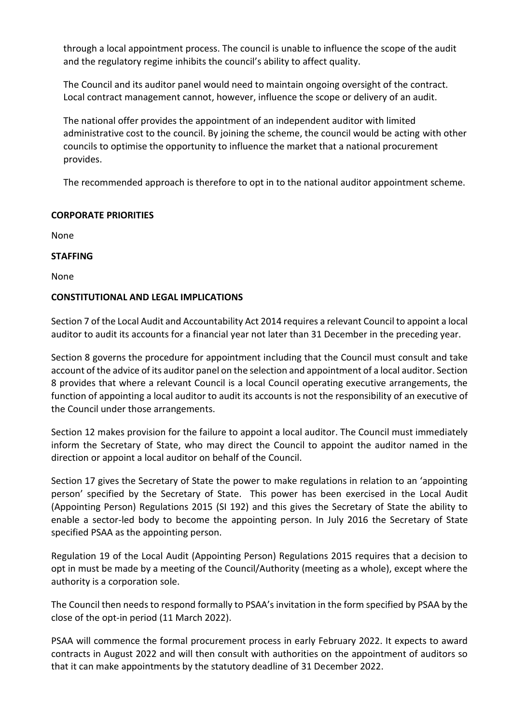through a local appointment process. The council is unable to influence the scope of the audit and the regulatory regime inhibits the council's ability to affect quality.

The Council and its auditor panel would need to maintain ongoing oversight of the contract. Local contract management cannot, however, influence the scope or delivery of an audit.

The national offer provides the appointment of an independent auditor with limited administrative cost to the council. By joining the scheme, the council would be acting with other councils to optimise the opportunity to influence the market that a national procurement provides.

The recommended approach is therefore to opt in to the national auditor appointment scheme.

# **CORPORATE PRIORITIES**

None

#### **STAFFING**

None

# **CONSTITUTIONAL AND LEGAL IMPLICATIONS**

Section 7 of the Local Audit and Accountability Act 2014 requires a relevant Council to appoint a local auditor to audit its accounts for a financial year not later than 31 December in the preceding year.

Section 8 governs the procedure for appointment including that the Council must consult and take account of the advice of its auditor panel on the selection and appointment of a local auditor. Section 8 provides that where a relevant Council is a local Council operating executive arrangements, the function of appointing a local auditor to audit its accounts is not the responsibility of an executive of the Council under those arrangements.

Section 12 makes provision for the failure to appoint a local auditor. The Council must immediately inform the Secretary of State, who may direct the Council to appoint the auditor named in the direction or appoint a local auditor on behalf of the Council.

Section 17 gives the Secretary of State the power to make regulations in relation to an 'appointing person' specified by the Secretary of State. This power has been exercised in the Local Audit (Appointing Person) Regulations 2015 (SI 192) and this gives the Secretary of State the ability to enable a sector-led body to become the appointing person. In July 2016 the Secretary of State specified PSAA as the appointing person.

Regulation 19 of the Local Audit (Appointing Person) Regulations 2015 requires that a decision to opt in must be made by a meeting of the Council/Authority (meeting as a whole), except where the authority is a corporation sole.

The Council then needs to respond formally to PSAA's invitation in the form specified by PSAA by the close of the opt-in period (11 March 2022).

PSAA will commence the formal procurement process in early February 2022. It expects to award contracts in August 2022 and will then consult with authorities on the appointment of auditors so that it can make appointments by the statutory deadline of 31 December 2022.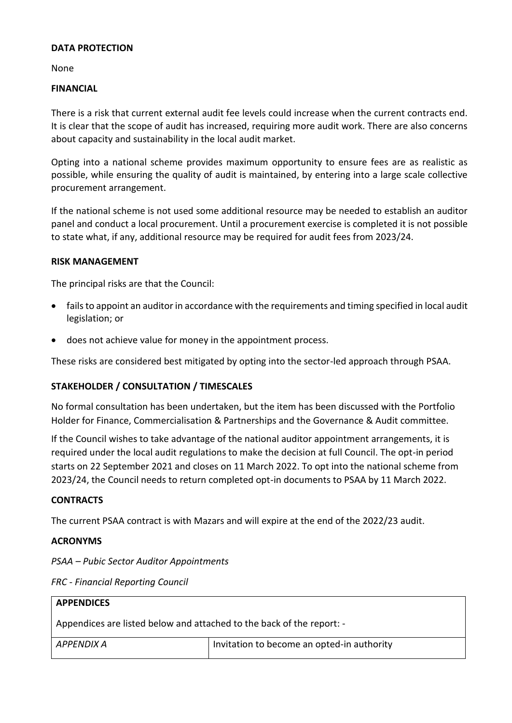#### **DATA PROTECTION**

None

#### **FINANCIAL**

There is a risk that current external audit fee levels could increase when the current contracts end. It is clear that the scope of audit has increased, requiring more audit work. There are also concerns about capacity and sustainability in the local audit market.

Opting into a national scheme provides maximum opportunity to ensure fees are as realistic as possible, while ensuring the quality of audit is maintained, by entering into a large scale collective procurement arrangement.

If the national scheme is not used some additional resource may be needed to establish an auditor panel and conduct a local procurement. Until a procurement exercise is completed it is not possible to state what, if any, additional resource may be required for audit fees from 2023/24.

#### **RISK MANAGEMENT**

The principal risks are that the Council:

- fails to appoint an auditor in accordance with the requirements and timing specified in local audit legislation; or
- does not achieve value for money in the appointment process.

These risks are considered best mitigated by opting into the sector-led approach through PSAA.

# **STAKEHOLDER / CONSULTATION / TIMESCALES**

No formal consultation has been undertaken, but the item has been discussed with the Portfolio Holder for Finance, Commercialisation & Partnerships and the Governance & Audit committee.

If the Council wishes to take advantage of the national auditor appointment arrangements, it is required under the local audit regulations to make the decision at full Council. The opt-in period starts on 22 September 2021 and closes on 11 March 2022. To opt into the national scheme from 2023/24, the Council needs to return completed opt-in documents to PSAA by 11 March 2022.

#### **CONTRACTS**

The current PSAA contract is with Mazars and will expire at the end of the 2022/23 audit.

#### **ACRONYMS**

*PSAA – Pubic Sector Auditor Appointments*

| <b>APPENDICES</b>                                                     |                                            |  |
|-----------------------------------------------------------------------|--------------------------------------------|--|
| Appendices are listed below and attached to the back of the report: - |                                            |  |
| APPENDIX A                                                            | Invitation to become an opted-in authority |  |